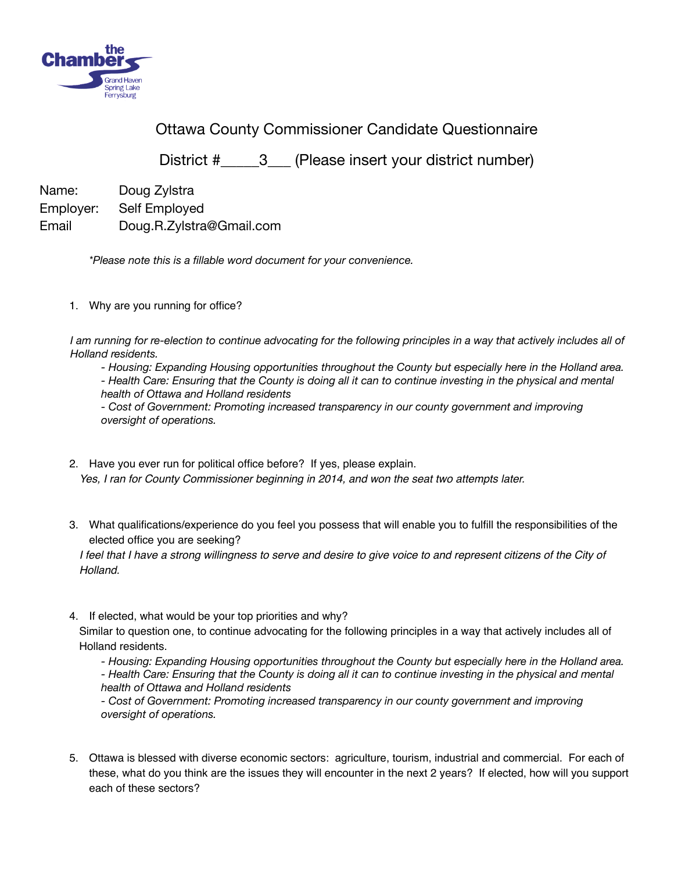

Ottawa County Commissioner Candidate Questionnaire

District #\_\_\_\_\_3\_\_\_ (Please insert your district number)

Name: Doug Zylstra Employer: Self Employed Email Doug.R.Zylstra@Gmail.com

*\*Please note this is a fillable word document for your convenience.* 

1. Why are you running for office?

*I am running for re-election to continue advocating for the following principles in a way that actively includes all of Holland residents.* 

 *- Housing: Expanding Housing opportunities throughout the County but especially here in the Holland area. - Health Care: Ensuring that the County is doing all it can to continue investing in the physical and mental health of Ottawa and Holland residents* 

*- Cost of Government: Promoting increased transparency in our county government and improving oversight of operations.* 

- 2. Have you ever run for political office before? If yes, please explain. *Yes, I ran for County Commissioner beginning in 2014, and won the seat two attempts later.*
- 3. What qualifications/experience do you feel you possess that will enable you to fulfill the responsibilities of the elected office you are seeking?

*I* feel that I have a strong willingness to serve and desire to give voice to and represent citizens of the City of *Holland.*

4. If elected, what would be your top priorities and why?

Similar to question one, to continue advocating for the following principles in a way that actively includes all of Holland residents.

 *- Housing: Expanding Housing opportunities throughout the County but especially here in the Holland area. - Health Care: Ensuring that the County is doing all it can to continue investing in the physical and mental health of Ottawa and Holland residents* 

*- Cost of Government: Promoting increased transparency in our county government and improving oversight of operations.* 

5. Ottawa is blessed with diverse economic sectors: agriculture, tourism, industrial and commercial. For each of these, what do you think are the issues they will encounter in the next 2 years? If elected, how will you support each of these sectors?